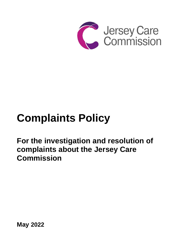

# **Complaints Policy**

**For the investigation and resolution of complaints about the Jersey Care Commission**

**May 2022**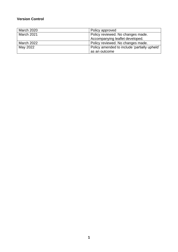# **Version Control**

| <b>March 2020</b> | Policy approved                              |
|-------------------|----------------------------------------------|
| March 2021        | Policy reviewed. No changes made.            |
|                   | Accompanying leaflet developed.              |
| March 2022        | Policy reviewed. No changes made.            |
| May 2022          | Policy amended to include 'partially upheld' |
|                   | as an outcome                                |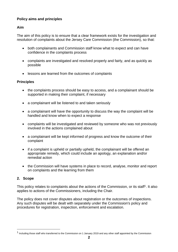# **Policy aims and principles**

## **Aim**

The aim of this policy is to ensure that a clear framework exists for the investigation and resolution of complaints about the Jersey Care Commission (the Commission), so that:

- both complainants and Commission staff know what to expect and can have confidence in the complaints process
- complaints are investigated and resolved properly and fairly, and as quickly as possible
- lessons are learned from the outcomes of complaints

## **Principles**

- the complaints process should be easy to access, and a complainant should be supported in making their complaint, if necessary
- a complainant will be listened to and taken seriously
- a complainant will have the opportunity to discuss the way the complaint will be handled and know when to expect a response
- complaints will be investigated and reviewed by someone who was not previously involved in the actions complained about
- a complainant will be kept informed of progress and know the outcome of their complaint
- if a complaint is upheld or partially upheld, the complainant will be offered an appropriate remedy, which could include an apology, an explanation and/or remedial action
- the Commission will have systems in place to record, analyse, monitor and report on complaints and the learning from them

## **2. Scope**

This policy relates to complaints about the actions of the Commission, or its staff<sup>1</sup>. It also applies to actions of the Commissioners, including the Chair.

The policy does not cover disputes about registration or the outcomes of inspections. Any such disputes will be dealt with separately under the Commission's policy and procedures for registration, inspection, enforcement and escalation.

<sup>&</sup>lt;sup>1</sup> Including those staff who transferred to the Commission on 1 January 2019 and any other staff appointed by the Commission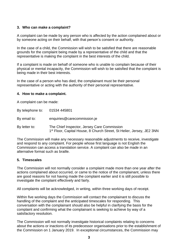## **3. Who can make a complaint?**

A complaint can be made by any person who is affected by the action complained about or by someone acting on their behalf, with that person's consent or authority.

In the case of a child, the Commission will wish to be satisfied that there are reasonable grounds for the complaint being made by a representative of the child and that the representative is making the complaint in the best interests of the child.

If a complaint is made on behalf of someone who is unable to complain because of their physical or mental incapacity, the Commission will wish to be satisfied that the complaint is being made in their best interests.

In the case of a person who has died, the complainant must be their personal representative or acting with the authority of their personal representative.

#### **4. How to make a complaint.**

A complaint can be made:

| By telephone to: | 01534 445801                                                                                                                     |
|------------------|----------------------------------------------------------------------------------------------------------------------------------|
| By email to:     | enquiries@carecommission.je                                                                                                      |
| By letter to:    | The Chief Inspector, Jersey Care Commission<br>1 <sup>st</sup> Floor, Capital House, 8 Church Street, St Helier, Jersey, JE2 3NN |

The Commission will make any necessary reasonable adjustments to receive, investigate and respond to any complaint. For people whose first language is not English the Commission can access a translation service. A complaint can also be made in an alternative format such as braille.

#### **5. Timescales**

The Commission will not normally consider a complaint made more than one year after the actions complained about occurred, or came to the notice of the complainant, unless there are good reasons for not having made the complaint earlier and it is still possible to investigate the complaint effectively and fairly.

All complaints will be acknowledged, in writing, within three working days of receipt.

Within five working days the Commission will contact the complainant to discuss the handling of the complaint and the anticipated timescales for responding. This conversation with the complainant should also be helpful in clarifying the basis for the complaint and confirming what the complainant is seeking to achieve by way of a satisfactory resolution.

The Commission will not normally investigate historical complaints relating to concerns about the actions or inactions of its predecessor organisations prior to the establishment of the Commission on 1 January 2019. In exceptional circumstances, the Commission may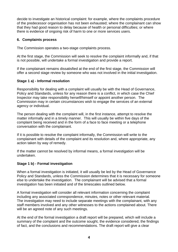decide to investigate an historical complaint: for example, where the complaints procedure of the predecessor organisation has not been exhausted; where the complainant can show that they had good reason to delay because of health or personal difficulties; or where there is evidence of ongoing risk of harm to one or more services users.

## **6. Complaints process**

The Commission operates a two-stage complaints process.

At the first stage, the Commission will seek to resolve the complaint informally and, if that is not possible, will undertake a formal investigation and provide a report.

If the complainant remains dissatisfied at the end of the first stage, the Commission will offer a second stage review by someone who was not involved in the initial investigation.

## **Stage 1 a) - Informal resolution**

Responsibility for dealing with a complaint will usually be with the Head of Governance, Policy and Standards, unless for any reason there is a conflict, in which case the Chief Inspector may take responsibility herself/himself or appoint another person. The Commission may in certain circumstances wish to engage the services of an external agency or individual.

The person dealing with the complaint will, in the first instance, attempt to resolve the matter informally and in a timely manner. This will usually be within five days of the complaint being received and in the form of a face to face meeting or a telephone conversation with the complainant.

If it is possible to resolve the complaint informally, the Commission will write to the complainant with details of the complaint and its resolution and, where appropriate, any action taken by way of remedy.

If the matter cannot be resolved by informal means, a formal investigation will be undertaken.

# **Stage 1 b) - Formal investigation**

When a formal investigation is initiated, it will usually be led by the Head of Governance Policy and Standards, unless the Commission determines that it is necessary for someone else to undertake the investigation. The complainant will be advised that a formal investigation has been initiated and of the timescales outlined below.

A formal investigation will consider all relevant information concerning the complaint including any associated correspondence, minutes, notes or other relevant material. The investigation may need to include separate meetings with the complainant, with any staff members involved and any other witnesses to the actions complained about. There will be an agreed note of any such meetings.

At the end of the formal investigation a draft report will be prepared, which will include a summary of the complaint and the outcome sought, the evidence considered, the findings of fact, and the conclusions and recommendations. The draft report will give a clear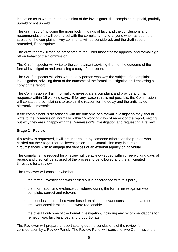indication as to whether, in the opinion of the investigator, the complaint is upheld, partially upheld or not upheld.

The draft report (including the main body, findings of fact, and the conclusions and recommendations) will be shared with the complainant and anyone who has been the subject of the complaint. Any comments will be considered, and the draft report amended, if appropriate.

The draft report will then be presented to the Chief Inspector for approval and formal sign off on behalf of the Commission.

The Chief Inspector will write to the complainant advising them of the outcome of the formal investigation and enclosing a copy of the report.

The Chief Inspector will also write to any person who was the subject of a complaint investigation, advising them of the outcome of the formal investigation and enclosing a copy of the report.

The Commission will aim normally to investigate a complaint and provide a formal response within 25 working days. If for any reason this is not possible, the Commission will contact the complainant to explain the reason for the delay and the anticipated alternative timescale.

If the complainant is dissatisfied with the outcome of a formal investigation they should write to the Commission, normally within 15 working days of receipt of the report, setting out why they are unhappy with the Commission's investigation and requesting a review.

#### **Stage 2 - Review**

If a review is requested, it will be undertaken by someone other than the person who carried out the Stage 1 formal investigation. The Commission may in certain circumstances wish to engage the services of an external agency or individual.

The complainant's request for a review will be acknowledged within three working days of receipt and they will be advised of the process to be followed and the anticipated timescale for a review.

The Reviewer will consider whether:

- the formal investigation was carried out in accordance with this policy
- the information and evidence considered during the formal investigation was complete, correct and relevant
- the conclusions reached were based on all the relevant considerations and no irrelevant considerations, and were reasonable
- the overall outcome of the formal investigation, including any recommendations for remedy, was fair, balanced and proportionate

The Reviewer will prepare a report setting out the conclusions of the review for consideration by a Review Panel. The Review Panel will consist of two Commissioners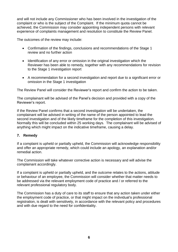and will not include any Commissioner who has been involved in the investigation of the complaint or who is the subject of the Complaint. If the minimum quota cannot be achieved, the Commission may consider appointing independent persons with relevant experience of complaints management and resolution to constitute the Review Panel.

The outcomes of the review may include:

- Confirmation of the findings, conclusions and recommendations of the Stage 1 review and no further action
- Identification of any error or omission in the original investigation which the Reviewer has been able to remedy, together with any recommendations for revision to the Stage 1 investigation report
- A recommendation for a second investigation and report due to a significant error or omission in the Stage 1 investigation

The Review Panel will consider the Reviewer's report and confirm the action to be taken.

The complainant will be advised of the Panel's decision and provided with a copy of the Reviewer's report.

If the Review Panel confirms that a second investigation will be undertaken, the complainant will be advised in writing of the name of the person appointed to lead the second investigation and of the likely timeframe for the completion of this investigation. Normally this will be concluded within 25 working days. The complainant will be advised of anything which might impact on the indicative timeframe, causing a delay.

## **7. Remedy**

If a complaint is upheld or partially upheld, the Commission will acknowledge responsibility and offer an appropriate remedy, which could include an apology, an explanation and/or remedial action.

The Commission will take whatever corrective action is necessary and will advise the complainant accordingly.

If a complaint is upheld or partially upheld, and the outcome relates to the actions, attitude or behaviour of an employee, the Commission will consider whether that matter needs to be addressed via the relevant employment code of practice and / or referred to the relevant professional regulatory body.

The Commission has a duty of care to its staff to ensure that any action taken under either the employment code of practice, or that might impact on the individual's professional registration, is dealt with sensitively, in accordance with the relevant policy and procedures and with due regard to the need for confidentiality.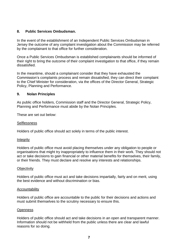## **8. Public Services Ombudsman.**

In the event of the establishment of an Independent Public Services Ombudsman in Jersey the outcome of any complaint investigation about the Commission may be referred by the complainant to that office for further consideration.

Once a Public Services Ombudsman is established complainants should be informed of their right to bring the outcome of their complaint investigation to that office, if they remain dissatisfied.

In the meantime, should a complainant consider that they have exhausted the Commission's complaints process and remain dissatisfied, they can direct their complaint to the Chief Minister for consideration, via the offices of the Director General, Strategic Policy, Planning and Performance.

#### **9. Nolan Principles**

As public office holders, Commission staff and the Director General, Strategic Policy, Planning and Performance must abide by the Nolan Principles.

These are set out below:

#### **Selflessness**

Holders of public office should act solely in terms of the public interest.

#### Integrity

Holders of public office must avoid placing themselves under any obligation to people or organisations that might try inappropriately to influence them in their work. They should not act or take decisions to gain financial or other material benefits for themselves, their family, or their friends. They must declare and resolve any interests and relationships.

#### **Objectivity**

Holders of public office must act and take decisions impartially, fairly and on merit, using the best evidence and without discrimination or bias.

#### Accountability

Holders of public office are accountable to the public for their decisions and actions and must submit themselves to the scrutiny necessary to ensure this.

#### **Openness**

Holders of public office should act and take decisions in an open and transparent manner. Information should not be withheld from the public unless there are clear and lawful reasons for so doing.